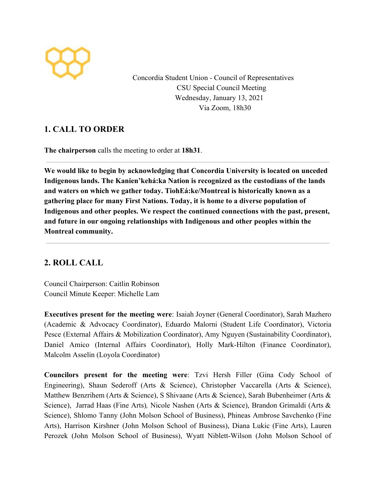

Concordia Student Union - Council of Representatives CSU Special Council Meeting Wednesday, January 13, 2021 Via Zoom, 18h30

## **1. CALL TO ORDER**

**The chairperson** calls the meeting to order at **18h31**.

**We would like to begin by acknowledging that Concordia University is located on unceded Indigenous lands. The Kanien'kehá:ka Nation is recognized as the custodians of the lands and waters on which we gather today. TiohEá:ke/Montreal is historically known as a gathering place for many First Nations. Today, it is home to a diverse population of Indigenous and other peoples. We respect the continued connections with the past, present, and future in our ongoing relationships with Indigenous and other peoples within the Montreal community.**

# **2. ROLL CALL**

Council Chairperson: Caitlin Robinson Council Minute Keeper: Michelle Lam

**Executives present for the meeting were**: Isaiah Joyner (General Coordinator), Sarah Mazhero (Academic & Advocacy Coordinator), Eduardo Malorni (Student Life Coordinator), Victoria Pesce (External Affairs & Mobilization Coordinator), Amy Nguyen (Sustainability Coordinator), Daniel Amico (Internal Affairs Coordinator), Holly Mark-Hilton (Finance Coordinator), Malcolm Asselin (Loyola Coordinator)

**Councilors present for the meeting were**: Tzvi Hersh Filler (Gina Cody School of Engineering), Shaun Sederoff (Arts & Science), Christopher Vaccarella (Arts & Science), Matthew Benzrihem (Arts & Science), S Shivaane (Arts & Science), Sarah Bubenheimer (Arts & Science), Jarrad Haas (Fine Arts)*,* Nicole Nashen (Arts & Science), Brandon Grimaldi (Arts & Science), Shlomo Tanny (John Molson School of Business), Phineas Ambrose Savchenko (Fine Arts), Harrison Kirshner (John Molson School of Business), Diana Lukic (Fine Arts), Lauren Perozek (John Molson School of Business), Wyatt Niblett-Wilson (John Molson School of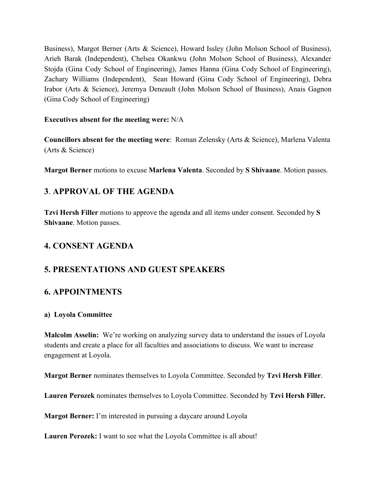Business), Margot Berner (Arts & Science), Howard Issley (John Molson School of Business), Arieh Barak (Independent), Chelsea Okankwu (John Molson School of Business), Alexander Stojda (Gina Cody School of Engineering), James Hanna (Gina Cody School of Engineering), Zachary Williams (Independent), Sean Howard (Gina Cody School of Engineering), Debra Irabor (Arts & Science), Jeremya Deneault (John Molson School of Business), Anais Gagnon (Gina Cody School of Engineering)

#### **Executives absent for the meeting were:** N/A

**Councillors absent for the meeting were**: Roman Zelensky (Arts & Science), Marlena Valenta (Arts & Science)

**Margot Berner** motions to excuse **Marlena Valenta**. Seconded by **S Shivaane**. Motion passes.

# **3**. **APPROVAL OF THE AGENDA**

**Tzvi Hersh Filler** motions to approve the agenda and all items under consent. Seconded by **S Shivaane**. Motion passes.

## **4. CONSENT AGENDA**

## **5. PRESENTATIONS AND GUEST SPEAKERS**

#### **6. APPOINTMENTS**

#### **a) Loyola Committee**

**Malcolm Asselin:** We're working on analyzing survey data to understand the issues of Loyola students and create a place for all faculties and associations to discuss. We want to increase engagement at Loyola.

**Margot Berner** nominates themselves to Loyola Committee. Seconded by **Tzvi Hersh Filler**.

**Lauren Perozek** nominates themselves to Loyola Committee. Seconded by **Tzvi Hersh Filler.**

**Margot Berner:** I'm interested in pursuing a daycare around Loyola

**Lauren Perozek:** I want to see what the Loyola Committee is all about!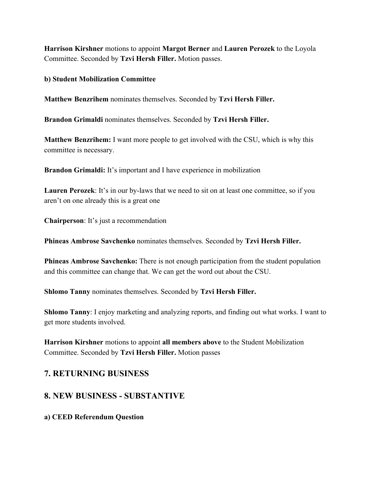**Harrison Kirshner** motions to appoint **Margot Berner** and **Lauren Perozek** to the Loyola Committee. Seconded by **Tzvi Hersh Filler.** Motion passes.

**b) Student Mobilization Committee**

**Matthew Benzrihem** nominates themselves. Seconded by **Tzvi Hersh Filler.**

**Brandon Grimaldi** nominates themselves. Seconded by **Tzvi Hersh Filler.**

**Matthew Benzrihem:** I want more people to get involved with the CSU, which is why this committee is necessary.

**Brandon Grimaldi:** It's important and I have experience in mobilization

**Lauren Perozek**: It's in our by-laws that we need to sit on at least one committee, so if you aren't on one already this is a great one

**Chairperson**: It's just a recommendation

**Phineas Ambrose Savchenko** nominates themselves. Seconded by **Tzvi Hersh Filler.**

**Phineas Ambrose Savchenko:** There is not enough participation from the student population and this committee can change that. We can get the word out about the CSU.

**Shlomo Tanny** nominates themselves. Seconded by **Tzvi Hersh Filler.**

**Shlomo Tanny**: I enjoy marketing and analyzing reports, and finding out what works. I want to get more students involved.

**Harrison Kirshner** motions to appoint **all members above** to the Student Mobilization Committee. Seconded by **Tzvi Hersh Filler.** Motion passes

#### **7. RETURNING BUSINESS**

## **8. NEW BUSINESS - SUBSTANTIVE**

**a) CEED Referendum Question**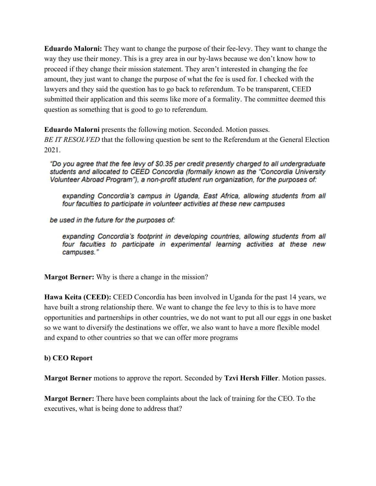**Eduardo Malorni:** They want to change the purpose of their fee-levy. They want to change the way they use their money. This is a grey area in our by-laws because we don't know how to proceed if they change their mission statement. They aren't interested in changing the fee amount, they just want to change the purpose of what the fee is used for. I checked with the lawyers and they said the question has to go back to referendum. To be transparent, CEED submitted their application and this seems like more of a formality. The committee deemed this question as something that is good to go to referendum.

**Eduardo Malorni** presents the following motion. Seconded. Motion passes. *BE IT RESOLVED* that the following question be sent to the Referendum at the General Election 2021.

"Do you agree that the fee levy of \$0.35 per credit presently charged to all undergraduate students and allocated to CEED Concordia (formally known as the "Concordia University Volunteer Abroad Program"), a non-profit student run organization, for the purposes of:

expanding Concordia's campus in Uganda, East Africa, allowing students from all four faculties to participate in volunteer activities at these new campuses

be used in the future for the purposes of:

expanding Concordia's footprint in developing countries, allowing students from all four faculties to participate in experimental learning activities at these new campuses."

**Margot Berner:** Why is there a change in the mission?

**Hawa Keita (CEED):** CEED Concordia has been involved in Uganda for the past 14 years, we have built a strong relationship there. We want to change the fee levy to this is to have more opportunities and partnerships in other countries, we do not want to put all our eggs in one basket so we want to diversify the destinations we offer, we also want to have a more flexible model and expand to other countries so that we can offer more programs

#### **b) CEO Report**

**Margot Berner** motions to approve the report. Seconded by **Tzvi Hersh Filler**. Motion passes.

**Margot Berner:** There have been complaints about the lack of training for the CEO. To the executives, what is being done to address that?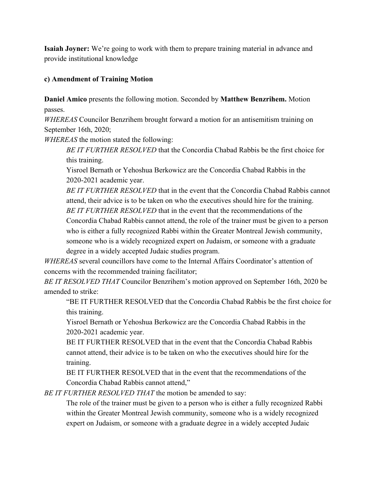**Isaiah Joyner:** We're going to work with them to prepare training material in advance and provide institutional knowledge

#### **c) Amendment of Training Motion**

**Daniel Amico** presents the following motion. Seconded by **Matthew Benzrihem.** Motion passes.

*WHEREAS* Councilor Benzrihem brought forward a motion for an antisemitism training on September 16th, 2020;

*WHEREAS* the motion stated the following:

*BE IT FURTHER RESOLVED* that the Concordia Chabad Rabbis be the first choice for this training.

Yisroel Bernath or Yehoshua Berkowicz are the Concordia Chabad Rabbis in the 2020-2021 academic year.

*BE IT FURTHER RESOLVED* that in the event that the Concordia Chabad Rabbis cannot attend, their advice is to be taken on who the executives should hire for the training. *BE IT FURTHER RESOLVED* that in the event that the recommendations of the

Concordia Chabad Rabbis cannot attend, the role of the trainer must be given to a person who is either a fully recognized Rabbi within the Greater Montreal Jewish community, someone who is a widely recognized expert on Judaism, or someone with a graduate degree in a widely accepted Judaic studies program.

*WHEREAS* several councillors have come to the Internal Affairs Coordinator's attention of concerns with the recommended training facilitator;

*BE IT RESOLVED THAT* Councilor Benzrihem's motion approved on September 16th, 2020 be amended to strike:

"BE IT FURTHER RESOLVED that the Concordia Chabad Rabbis be the first choice for this training.

Yisroel Bernath or Yehoshua Berkowicz are the Concordia Chabad Rabbis in the 2020-2021 academic year.

BE IT FURTHER RESOLVED that in the event that the Concordia Chabad Rabbis cannot attend, their advice is to be taken on who the executives should hire for the training.

BE IT FURTHER RESOLVED that in the event that the recommendations of the Concordia Chabad Rabbis cannot attend,"

*BE IT FURTHER RESOLVED THAT* the motion be amended to say:

The role of the trainer must be given to a person who is either a fully recognized Rabbi within the Greater Montreal Jewish community, someone who is a widely recognized expert on Judaism, or someone with a graduate degree in a widely accepted Judaic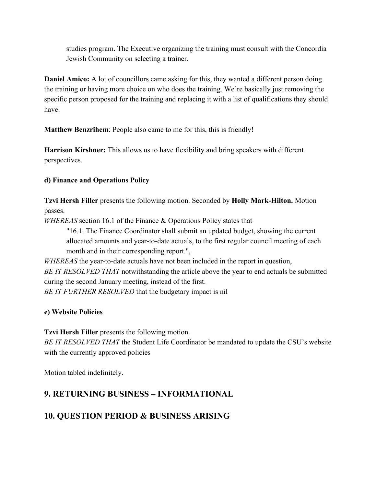studies program. The Executive organizing the training must consult with the Concordia Jewish Community on selecting a trainer.

**Daniel Amico:** A lot of councillors came asking for this, they wanted a different person doing the training or having more choice on who does the training. We're basically just removing the specific person proposed for the training and replacing it with a list of qualifications they should have.

**Matthew Benzrihem**: People also came to me for this, this is friendly!

**Harrison Kirshner:** This allows us to have flexibility and bring speakers with different perspectives.

#### **d) Finance and Operations Policy**

**Tzvi Hersh Filler** presents the following motion. Seconded by **Holly Mark-Hilton.** Motion passes.

*WHEREAS* section 16.1 of the Finance & Operations Policy states that

"16.1. The Finance Coordinator shall submit an updated budget, showing the current allocated amounts and year-to-date actuals, to the first regular council meeting of each month and in their corresponding report.",

*WHEREAS* the year-to-date actuals have not been included in the report in question, *BE IT RESOLVED THAT* notwithstanding the article above the year to end actuals be submitted during the second January meeting, instead of the first.

*BE IT FURTHER RESOLVED* that the budgetary impact is nil

#### **e) Website Policies**

**Tzvi Hersh Filler** presents the following motion.

*BE IT RESOLVED THAT* the Student Life Coordinator be mandated to update the CSU's website with the currently approved policies

Motion tabled indefinitely.

## **9. RETURNING BUSINESS – INFORMATIONAL**

## **10. QUESTION PERIOD & BUSINESS ARISING**